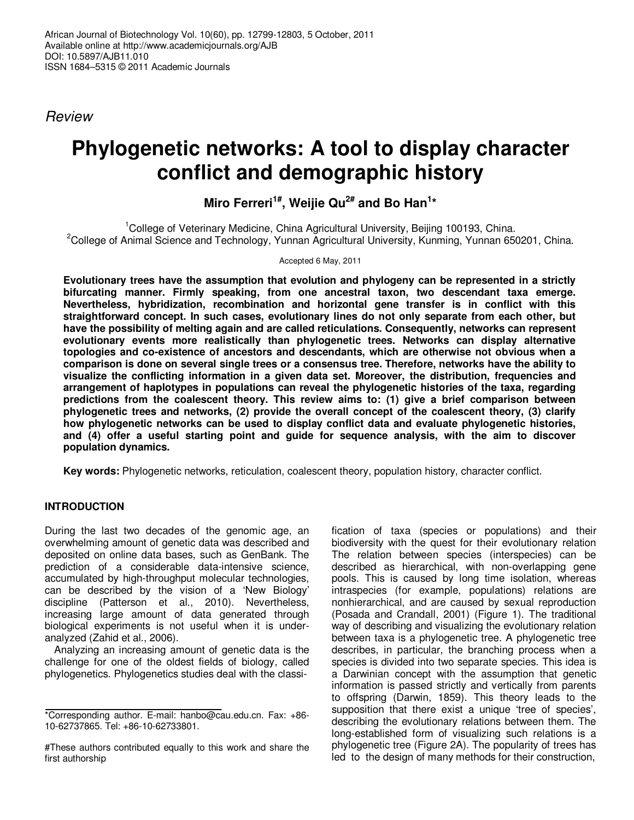Review

# **Phylogenetic networks: A tool to display character conflict and demographic history**

## **Miro Ferreri1#, Weijie Qu2# and Bo Han<sup>1</sup> \***

<sup>1</sup>College of Veterinary Medicine, China Agricultural University, Beijing 100193, China. <sup>2</sup>College of Animal Science and Technology, Yunnan Agricultural University, Kunming, Yunnan 650201, China.

#### Accepted 6 May, 2011

**Evolutionary trees have the assumption that evolution and phylogeny can be represented in a strictly bifurcating manner. Firmly speaking, from one ancestral taxon, two descendant taxa emerge. Nevertheless, hybridization, recombination and horizontal gene transfer is in conflict with this straightforward concept. In such cases, evolutionary lines do not only separate from each other, but have the possibility of melting again and are called reticulations. Consequently, networks can represent evolutionary events more realistically than phylogenetic trees. Networks can display alternative topologies and co-existence of ancestors and descendants, which are otherwise not obvious when a comparison is done on several single trees or a consensus tree. Therefore, networks have the ability to visualize the conflicting information in a given data set. Moreover, the distribution, frequencies and arrangement of haplotypes in populations can reveal the phylogenetic histories of the taxa, regarding predictions from the coalescent theory. This review aims to: (1) give a brief comparison between phylogenetic trees and networks, (2) provide the overall concept of the coalescent theory, (3) clarify how phylogenetic networks can be used to display conflict data and evaluate phylogenetic histories, and (4) offer a useful starting point and guide for sequence analysis, with the aim to discover population dynamics.** 

**Key words:** Phylogenetic networks, reticulation, coalescent theory, population history, character conflict.

#### **INTRODUCTION**

During the last two decades of the genomic age, an overwhelming amount of genetic data was described and deposited on online data bases, such as GenBank. The prediction of a considerable data-intensive science, accumulated by high-throughput molecular technologies, can be described by the vision of a 'New Biology' discipline (Patterson et al., 2010). Nevertheless, increasing large amount of data generated through biological experiments is not useful when it is underanalyzed (Zahid et al., 2006).

Analyzing an increasing amount of genetic data is the challenge for one of the oldest fields of biology, called phylogenetics. Phylogenetics studies deal with the classification of taxa (species or populations) and their biodiversity with the quest for their evolutionary relation The relation between species (interspecies) can be described as hierarchical, with non-overlapping gene pools. This is caused by long time isolation, whereas intraspecies (for example, populations) relations are nonhierarchical, and are caused by sexual reproduction (Posada and Crandall, 2001) (Figure 1). The traditional way of describing and visualizing the evolutionary relation between taxa is a phylogenetic tree. A phylogenetic tree describes, in particular, the branching process when a species is divided into two separate species. This idea is a Darwinian concept with the assumption that genetic information is passed strictly and vertically from parents to offspring (Darwin, 1859). This theory leads to the supposition that there exist a unique 'tree of species', describing the evolutionary relations between them. The long-established form of visualizing such relations is a phylogenetic tree (Figure 2A). The popularity of trees has led to the design of many methods for their construction,

<sup>\*</sup>Corresponding author. E-mail: hanbo@cau.edu.cn. Fax: +86- 10-62737865. Tel: +86-10-62733801.

<sup>#</sup>These authors contributed equally to this work and share the first authorship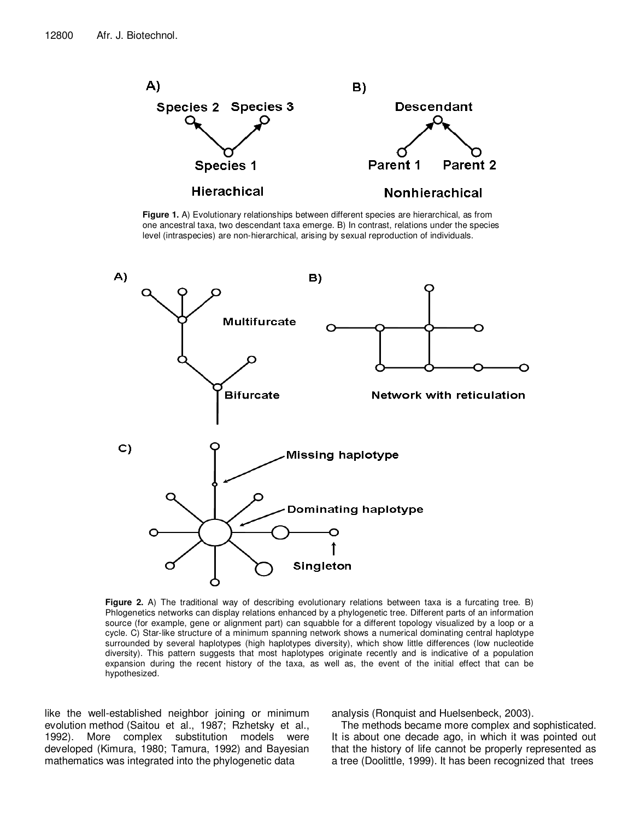

**Figure 1.** A) Evolutionary relationships between different species are hierarchical, as from one ancestral taxa, two descendant taxa emerge. B) In contrast, relations under the species level (intraspecies) are non-hierarchical, arising by sexual reproduction of individuals.



**Figure 2.** A) The traditional way of describing evolutionary relations between taxa is a furcating tree. B) Phlogenetics networks can display relations enhanced by a phylogenetic tree. Different parts of an information source (for example, gene or alignment part) can squabble for a different topology visualized by a loop or a cycle. C) Star-like structure of a minimum spanning network shows a numerical dominating central haplotype surrounded by several haplotypes (high haplotypes diversity), which show little differences (low nucleotide diversity). This pattern suggests that most haplotypes originate recently and is indicative of a population expansion during the recent history of the taxa, as well as, the event of the initial effect that can be hypothesized.

like the well-established neighbor joining or minimum evolution method (Saitou et al., 1987; Rzhetsky et al., 1992). More complex substitution models were developed (Kimura, 1980; Tamura, 1992) and Bayesian mathematics was integrated into the phylogenetic data

analysis (Ronquist and Huelsenbeck, 2003).

The methods became more complex and sophisticated. It is about one decade ago, in which it was pointed out that the history of life cannot be properly represented as a tree (Doolittle, 1999). It has been recognized that trees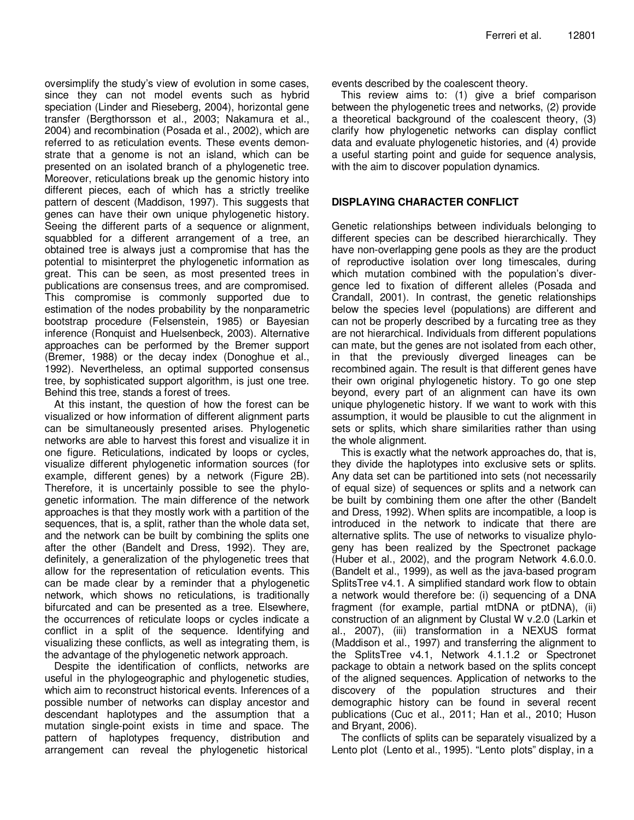oversimplify the study's view of evolution in some cases, since they can not model events such as hybrid speciation (Linder and Rieseberg, 2004), horizontal gene transfer (Bergthorsson et al., 2003; Nakamura et al., 2004) and recombination (Posada et al., 2002), which are referred to as reticulation events. These events demonstrate that a genome is not an island, which can be presented on an isolated branch of a phylogenetic tree. Moreover, reticulations break up the genomic history into different pieces, each of which has a strictly treelike pattern of descent (Maddison, 1997). This suggests that genes can have their own unique phylogenetic history. Seeing the different parts of a sequence or alignment, squabbled for a different arrangement of a tree, an obtained tree is always just a compromise that has the potential to misinterpret the phylogenetic information as great. This can be seen, as most presented trees in publications are consensus trees, and are compromised. This compromise is commonly supported due to estimation of the nodes probability by the nonparametric bootstrap procedure (Felsenstein, 1985) or Bayesian inference (Ronquist and Huelsenbeck, 2003). Alternative approaches can be performed by the Bremer support (Bremer, 1988) or the decay index (Donoghue et al., 1992). Nevertheless, an optimal supported consensus tree, by sophisticated support algorithm, is just one tree. Behind this tree, stands a forest of trees.

At this instant, the question of how the forest can be visualized or how information of different alignment parts can be simultaneously presented arises. Phylogenetic networks are able to harvest this forest and visualize it in one figure. Reticulations, indicated by loops or cycles, visualize different phylogenetic information sources (for example, different genes) by a network (Figure 2B). Therefore, it is uncertainly possible to see the phylogenetic information. The main difference of the network approaches is that they mostly work with a partition of the sequences, that is, a split, rather than the whole data set, and the network can be built by combining the splits one after the other (Bandelt and Dress, 1992). They are, definitely, a generalization of the phylogenetic trees that allow for the representation of reticulation events. This can be made clear by a reminder that a phylogenetic network, which shows no reticulations, is traditionally bifurcated and can be presented as a tree. Elsewhere, the occurrences of reticulate loops or cycles indicate a conflict in a split of the sequence. Identifying and visualizing these conflicts, as well as integrating them, is the advantage of the phylogenetic network approach.

Despite the identification of conflicts, networks are useful in the phylogeographic and phylogenetic studies, which aim to reconstruct historical events. Inferences of a possible number of networks can display ancestor and descendant haplotypes and the assumption that a mutation single-point exists in time and space. The pattern of haplotypes frequency, distribution and arrangement can reveal the phylogenetic historical

events described by the coalescent theory.

This review aims to: (1) give a brief comparison between the phylogenetic trees and networks, (2) provide a theoretical background of the coalescent theory, (3) clarify how phylogenetic networks can display conflict data and evaluate phylogenetic histories, and (4) provide a useful starting point and guide for sequence analysis, with the aim to discover population dynamics.

#### **DISPLAYING CHARACTER CONFLICT**

Genetic relationships between individuals belonging to different species can be described hierarchically. They have non-overlapping gene pools as they are the product of reproductive isolation over long timescales, during which mutation combined with the population's divergence led to fixation of different alleles (Posada and Crandall, 2001). In contrast, the genetic relationships below the species level (populations) are different and can not be properly described by a furcating tree as they are not hierarchical. Individuals from different populations can mate, but the genes are not isolated from each other, in that the previously diverged lineages can be recombined again. The result is that different genes have their own original phylogenetic history. To go one step beyond, every part of an alignment can have its own unique phylogenetic history. If we want to work with this assumption, it would be plausible to cut the alignment in sets or splits, which share similarities rather than using the whole alignment.

This is exactly what the network approaches do, that is, they divide the haplotypes into exclusive sets or splits. Any data set can be partitioned into sets (not necessarily of equal size) of sequences or splits and a network can be built by combining them one after the other (Bandelt and Dress, 1992). When splits are incompatible, a loop is introduced in the network to indicate that there are alternative splits. The use of networks to visualize phylogeny has been realized by the Spectronet package (Huber et al., 2002), and the program Network 4.6.0.0. (Bandelt et al., 1999), as well as the java-based program SplitsTree v4.1. A simplified standard work flow to obtain a network would therefore be: (i) sequencing of a DNA fragment (for example, partial mtDNA or ptDNA), (ii) construction of an alignment by Clustal W v.2.0 (Larkin et al., 2007), (iii) transformation in a NEXUS format (Maddison et al., 1997) and transferring the alignment to the SplitsTree v4.1, Network 4.1.1.2 or Spectronet package to obtain a network based on the splits concept of the aligned sequences. Application of networks to the discovery of the population structures and their demographic history can be found in several recent publications (Cuc et al., 2011; Han et al., 2010; Huson and Bryant, 2006).

The conflicts of splits can be separately visualized by a Lento plot (Lento et al., 1995). "Lento plots" display, in a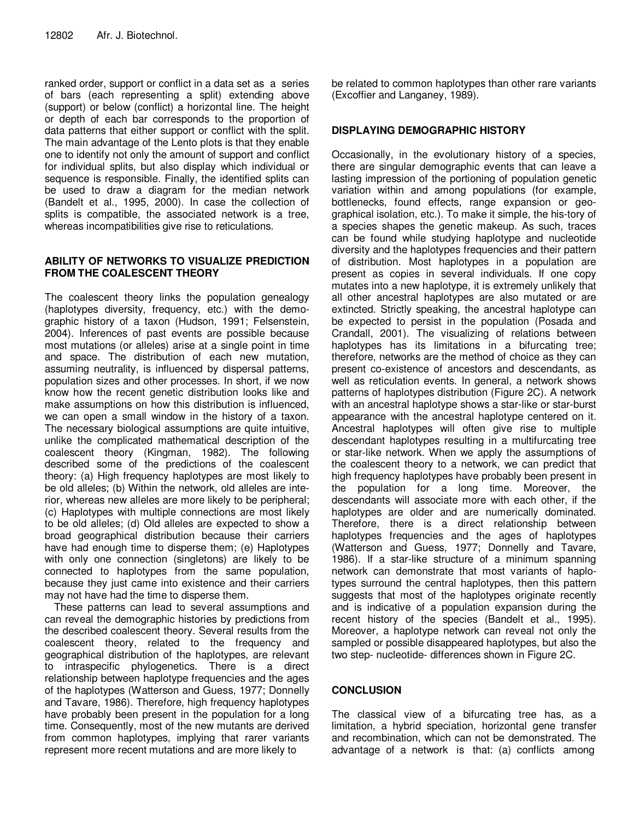ranked order, support or conflict in a data set as a series of bars (each representing a split) extending above (support) or below (conflict) a horizontal line. The height or depth of each bar corresponds to the proportion of data patterns that either support or conflict with the split. The main advantage of the Lento plots is that they enable one to identify not only the amount of support and conflict for individual splits, but also display which individual or sequence is responsible. Finally, the identified splits can be used to draw a diagram for the median network (Bandelt et al., 1995, 2000). In case the collection of splits is compatible, the associated network is a tree, whereas incompatibilities give rise to reticulations.

#### **ABILITY OF NETWORKS TO VISUALIZE PREDICTION FROM THE COALESCENT THEORY**

The coalescent theory links the population genealogy (haplotypes diversity, frequency, etc.) with the demographic history of a taxon (Hudson, 1991; Felsenstein, 2004). Inferences of past events are possible because most mutations (or alleles) arise at a single point in time and space. The distribution of each new mutation, assuming neutrality, is influenced by dispersal patterns, population sizes and other processes. In short, if we now know how the recent genetic distribution looks like and make assumptions on how this distribution is influenced, we can open a small window in the history of a taxon. The necessary biological assumptions are quite intuitive, unlike the complicated mathematical description of the coalescent theory (Kingman, 1982). The following described some of the predictions of the coalescent theory: (a) High frequency haplotypes are most likely to be old alleles; (b) Within the network, old alleles are interior, whereas new alleles are more likely to be peripheral; (c) Haplotypes with multiple connections are most likely to be old alleles; (d) Old alleles are expected to show a broad geographical distribution because their carriers have had enough time to disperse them; (e) Haplotypes with only one connection (singletons) are likely to be connected to haplotypes from the same population, because they just came into existence and their carriers may not have had the time to disperse them.

These patterns can lead to several assumptions and can reveal the demographic histories by predictions from the described coalescent theory. Several results from the coalescent theory, related to the frequency and geographical distribution of the haplotypes, are relevant to intraspecific phylogenetics. There is a direct relationship between haplotype frequencies and the ages of the haplotypes (Watterson and Guess, 1977; Donnelly and Tavare, 1986). Therefore, high frequency haplotypes have probably been present in the population for a long time. Consequently, most of the new mutants are derived from common haplotypes, implying that rarer variants represent more recent mutations and are more likely to

be related to common haplotypes than other rare variants (Excoffier and Langaney, 1989).

### **DISPLAYING DEMOGRAPHIC HISTORY**

Occasionally, in the evolutionary history of a species, there are singular demographic events that can leave a lasting impression of the portioning of population genetic variation within and among populations (for example, bottlenecks, found effects, range expansion or geographical isolation, etc.). To make it simple, the his-tory of a species shapes the genetic makeup. As such, traces can be found while studying haplotype and nucleotide diversity and the haplotypes frequencies and their pattern of distribution. Most haplotypes in a population are present as copies in several individuals. If one copy mutates into a new haplotype, it is extremely unlikely that all other ancestral haplotypes are also mutated or are extincted. Strictly speaking, the ancestral haplotype can be expected to persist in the population (Posada and Crandall, 2001). The visualizing of relations between haplotypes has its limitations in a bifurcating tree; therefore, networks are the method of choice as they can present co-existence of ancestors and descendants, as well as reticulation events. In general, a network shows patterns of haplotypes distribution (Figure 2C). A network with an ancestral haplotype shows a star-like or star-burst appearance with the ancestral haplotype centered on it. Ancestral haplotypes will often give rise to multiple descendant haplotypes resulting in a multifurcating tree or star-like network. When we apply the assumptions of the coalescent theory to a network, we can predict that high frequency haplotypes have probably been present in the population for a long time. Moreover, the descendants will associate more with each other, if the haplotypes are older and are numerically dominated. Therefore, there is a direct relationship between haplotypes frequencies and the ages of haplotypes (Watterson and Guess, 1977; Donnelly and Tavare, 1986). If a star-like structure of a minimum spanning network can demonstrate that most variants of haplotypes surround the central haplotypes, then this pattern suggests that most of the haplotypes originate recently and is indicative of a population expansion during the recent history of the species (Bandelt et al., 1995). Moreover, a haplotype network can reveal not only the sampled or possible disappeared haplotypes, but also the two step- nucleotide- differences shown in Figure 2C.

#### **CONCLUSION**

The classical view of a bifurcating tree has, as a limitation, a hybrid speciation, horizontal gene transfer and recombination, which can not be demonstrated. The advantage of a network is that: (a) conflicts among